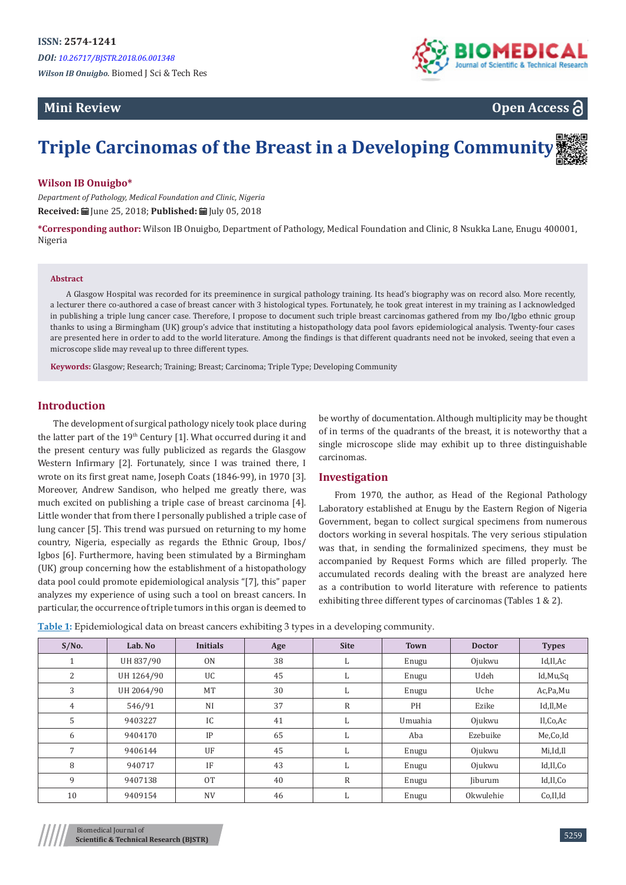# **Mini Review**





# **Triple Carcinomas of the Breast in a Developing Community**

#### **Wilson IB Onuigbo\***

*Department of Pathology, Medical Foundation and Clinic, Nigeria* **Received:** June 25, 2018; **Published:** July 05, 2018

**\*Corresponding author:** Wilson IB Onuigbo, Department of Pathology, Medical Foundation and Clinic, 8 Nsukka Lane, Enugu 400001, Nigeria

#### **Abstract**

A Glasgow Hospital was recorded for its preeminence in surgical pathology training. Its head's biography was on record also. More recently, a lecturer there co-authored a case of breast cancer with 3 histological types. Fortunately, he took great interest in my training as I acknowledged in publishing a triple lung cancer case. Therefore, I propose to document such triple breast carcinomas gathered from my Ibo/Igbo ethnic group thanks to using a Birmingham (UK) group's advice that instituting a histopathology data pool favors epidemiological analysis. Twenty-four cases are presented here in order to add to the world literature. Among the findings is that different quadrants need not be invoked, seeing that even a microscope slide may reveal up to three different types.

**Keywords:** Glasgow; Research; Training; Breast; Carcinoma; Triple Type; Developing Community

#### **Introduction**

The development of surgical pathology nicely took place during the latter part of the 19<sup>th</sup> Century [1]. What occurred during it and the present century was fully publicized as regards the Glasgow Western Infirmary [2]. Fortunately, since I was trained there, I wrote on its first great name, Joseph Coats (1846-99), in 1970 [3]. Moreover, Andrew Sandison, who helped me greatly there, was much excited on publishing a triple case of breast carcinoma [4]. Little wonder that from there I personally published a triple case of lung cancer [5]. This trend was pursued on returning to my home country, Nigeria, especially as regards the Ethnic Group, Ibos/ Igbos [6]. Furthermore, having been stimulated by a Birmingham (UK) group concerning how the establishment of a histopathology data pool could promote epidemiological analysis "[7], this" paper analyzes my experience of using such a tool on breast cancers. In particular, the occurrence of triple tumors in this organ is deemed to

be worthy of documentation. Although multiplicity may be thought of in terms of the quadrants of the breast, it is noteworthy that a single microscope slide may exhibit up to three distinguishable carcinomas.

### **Investigation**

From 1970, the author, as Head of the Regional Pathology Laboratory established at Enugu by the Eastern Region of Nigeria Government, began to collect surgical specimens from numerous doctors working in several hospitals. The very serious stipulation was that, in sending the formalinized specimens, they must be accompanied by Request Forms which are filled properly. The accumulated records dealing with the breast are analyzed here as a contribution to world literature with reference to patients exhibiting three different types of carcinomas (Tables 1 & 2).

|  | Table 1: Epidemiological data on breast cancers exhibiting 3 types in a developing community. |  |  |
|--|-----------------------------------------------------------------------------------------------|--|--|
|  |                                                                                               |  |  |

| $S/N0$ . | Lab. No    | <b>Initials</b> | Age | <b>Site</b> | <b>Town</b> | <b>Doctor</b>  | <b>Types</b> |
|----------|------------|-----------------|-----|-------------|-------------|----------------|--------------|
| ÷.       | UH 837/90  | 0 <sub>N</sub>  | 38  | ы           | Enugu       | Ojukwu         | Id,Il,Ac     |
| 2        | UH 1264/90 | <b>UC</b>       | 45  | L.          | Enugu       | Udeh           | Id, Mu, Sq   |
| 3        | UH 2064/90 | MT              | 30  | L.          | Enugu       | Uche           | Ac, Pa, Mu   |
| 4        | 546/91     | <b>NI</b>       | 37  | $\mathbb R$ | PH          | Ezike          | Id,Il,Me     |
| 5        | 9403227    | IC              | 41  | L.          | Umuahia     | Ojukwu         | Il,Co,Ac     |
| 6        | 9404170    | IP              | 65  | L.          | Aba         | Ezebuike       | Me,Co,Id     |
| 7        | 9406144    | UF              | 45  | L.          | Enugu       | Ojukwu         | Mi,Id,Il     |
| 8        | 940717     | IF              | 43  | L.          | Enugu       | Ojukwu         | Id,Il,Co     |
| 9        | 9407138    | <b>OT</b>       | 40  | $\mathbb R$ | Enugu       | <b>Iiburum</b> | Id,Il,Co     |
| 10       | 9409154    | <b>NV</b>       | 46  | L.          | Enugu       | Okwulehie      | Co,Il,Id     |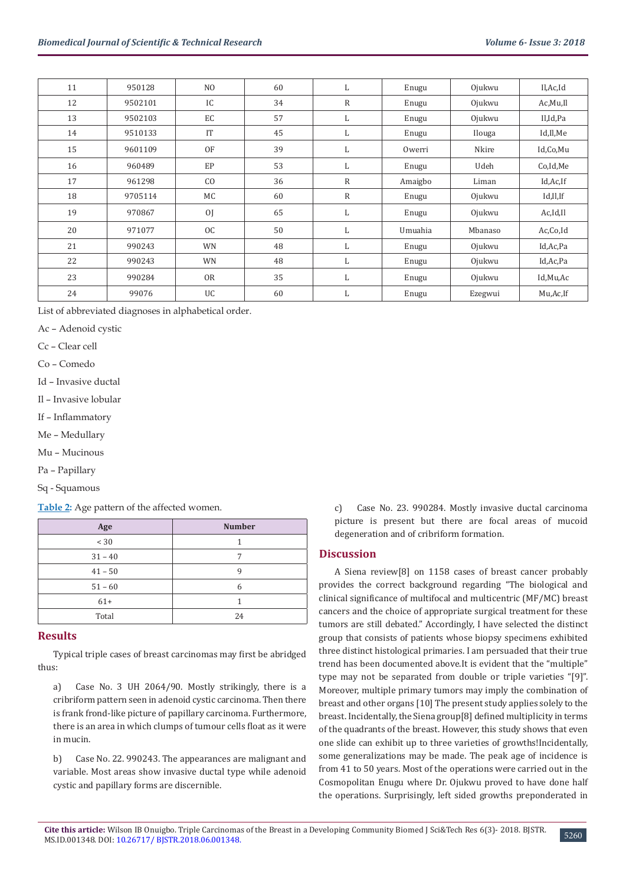| 11 | 950128  | NO.           | 60 | L.           | Enugu   | Ojukwu  | Il,Ac,Id   |
|----|---------|---------------|----|--------------|---------|---------|------------|
| 12 | 9502101 | IC            | 34 | $\mathbb{R}$ | Enugu   | Ojukwu  | Ac, Mu, Il |
| 13 | 9502103 | EC            | 57 | L            | Enugu   | Ojukwu  | Il,Id,Pa   |
| 14 | 9510133 | IT            | 45 | L            | Enugu   | Ilouga  | Id,Il,Me   |
| 15 | 9601109 | OF            | 39 | L            | Owerri  | Nkire   | Id,Co,Mu   |
| 16 | 960489  | EP            | 53 | L            | Enugu   | Udeh    | Co,Id,Me   |
| 17 | 961298  | CO            | 36 | $\mathbb{R}$ | Amaigbo | Liman   | Id, Ac, If |
| 18 | 9705114 | МC            | 60 | $\mathbb{R}$ | Enugu   | Ojukwu  | Id,Il,If   |
| 19 | 970867  | <sub>OJ</sub> | 65 | L            | Enugu   | Ojukwu  | Ac, Id, Il |
| 20 | 971077  | OC            | 50 | L            | Umuahia | Mbanaso | Ac,Co,Id   |
| 21 | 990243  | <b>WN</b>     | 48 | L            | Enugu   | Ojukwu  | Id, Ac, Pa |
| 22 | 990243  | WN            | 48 | L            | Enugu   | Ojukwu  | Id, Ac, Pa |
| 23 | 990284  | <b>OR</b>     | 35 | L.           | Enugu   | Ojukwu  | Id,Mu,Ac   |
| 24 | 99076   | UC            | 60 | L            | Enugu   | Ezegwui | Mu, Ac, If |

List of abbreviated diagnoses in alphabetical order.

Ac – Adenoid cystic

Cc – Clear cell

Co – Comedo

Id – Invasive ductal

Il – Invasive lobular

If – Inflammatory

Me – Medullary

Mu – Mucinous

Pa – Papillary

Sq - Squamous

**Table 2:** Age pattern of the affected women.

| Age       | <b>Number</b> |  |  |
|-----------|---------------|--|--|
| < 30      |               |  |  |
| $31 - 40$ | 7             |  |  |
| $41 - 50$ |               |  |  |
| $51 - 60$ | 6             |  |  |
| $61+$     |               |  |  |
| Total     | 24            |  |  |

#### **Results**

Typical triple cases of breast carcinomas may first be abridged thus:

a) Case No. 3 UH 2064/90. Mostly strikingly, there is a cribriform pattern seen in adenoid cystic carcinoma. Then there is frank frond-like picture of papillary carcinoma. Furthermore, there is an area in which clumps of tumour cells float as it were in mucin.

b) Case No. 22. 990243. The appearances are malignant and variable. Most areas show invasive ductal type while adenoid cystic and papillary forms are discernible.

c) Case No. 23. 990284. Mostly invasive ductal carcinoma picture is present but there are focal areas of mucoid degeneration and of cribriform formation.

#### **Discussion**

A Siena review[8] on 1158 cases of breast cancer probably provides the correct background regarding "The biological and clinical significance of multifocal and multicentric (MF/MC) breast cancers and the choice of appropriate surgical treatment for these tumors are still debated." Accordingly, I have selected the distinct group that consists of patients whose biopsy specimens exhibited three distinct histological primaries. I am persuaded that their true trend has been documented above.It is evident that the "multiple" type may not be separated from double or triple varieties "[9]". Moreover, multiple primary tumors may imply the combination of breast and other organs [10] The present study applies solely to the breast. Incidentally, the Siena group[8] defined multiplicity in terms of the quadrants of the breast. However, this study shows that even one slide can exhibit up to three varieties of growths!Incidentally, some generalizations may be made. The peak age of incidence is from 41 to 50 years. Most of the operations were carried out in the Cosmopolitan Enugu where Dr. Ojukwu proved to have done half the operations. Surprisingly, left sided growths preponderated in